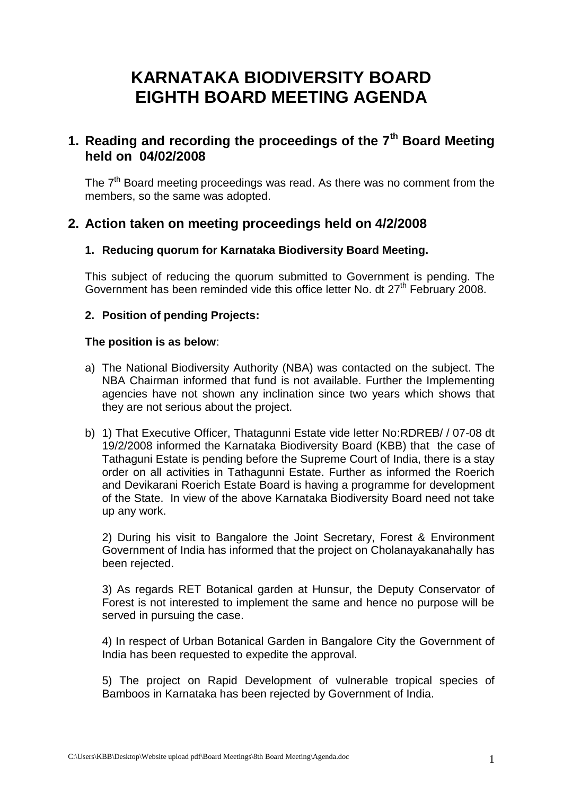# **KARNATAKA BIODIVERSITY BOARD EIGHTH BOARD MEETING AGENDA**

# **1. Reading and recording the proceedings of the 7th Board Meeting held on 04/02/2008**

The 7<sup>th</sup> Board meeting proceedings was read. As there was no comment from the members, so the same was adopted.

## **2. Action taken on meeting proceedings held on 4/2/2008**

#### **1. Reducing quorum for Karnataka Biodiversity Board Meeting.**

This subject of reducing the quorum submitted to Government is pending. The Government has been reminded vide this office letter No. dt 27<sup>th</sup> February 2008.

#### **2. Position of pending Projects:**

#### **The position is as below**:

- a) The National Biodiversity Authority (NBA) was contacted on the subject. The NBA Chairman informed that fund is not available. Further the Implementing agencies have not shown any inclination since two years which shows that they are not serious about the project.
- b) 1) That Executive Officer, Thatagunni Estate vide letter No:RDREB/ / 07-08 dt 19/2/2008 informed the Karnataka Biodiversity Board (KBB) that the case of Tathaguni Estate is pending before the Supreme Court of India, there is a stay order on all activities in Tathagunni Estate. Further as informed the Roerich and Devikarani Roerich Estate Board is having a programme for development of the State. In view of the above Karnataka Biodiversity Board need not take up any work.

2) During his visit to Bangalore the Joint Secretary, Forest & Environment Government of India has informed that the project on Cholanayakanahally has been rejected.

3) As regards RET Botanical garden at Hunsur, the Deputy Conservator of Forest is not interested to implement the same and hence no purpose will be served in pursuing the case.

4) In respect of Urban Botanical Garden in Bangalore City the Government of India has been requested to expedite the approval.

5) The project on Rapid Development of vulnerable tropical species of Bamboos in Karnataka has been rejected by Government of India.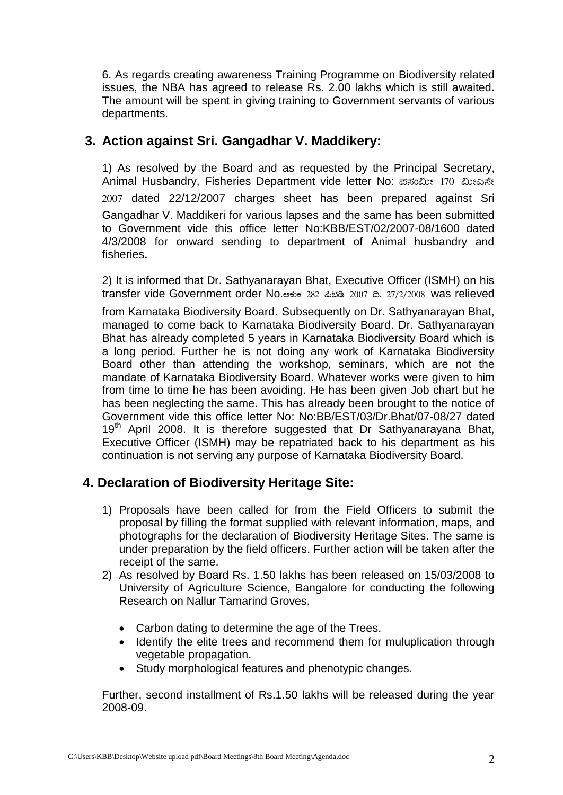6. As regards creating awareness Training Programme on Biodiversity related issues, the NBA has agreed to release Rs. 2.00 lakhs which is still awaited**.**  The amount will be spent in giving training to Government servants of various departments.

### **3. Action against Sri. Gangadhar V. Maddikery:**

1) As resolved by the Board and as requested by the Principal Secretary, Animal Husbandry, Fisheries Department vide letter No: ಪಸಂಮೀ 170 ಮೀಎಸೇ 2007 dated 22/12/2007 charges sheet has been prepared against Sri Gangadhar V. Maddikeri for various lapses and the same has been submitted to Government vide this office letter No:KBB/EST/02/2007-08/1600 dated 4/3/2008 for onward sending to department of Animal husbandry and fisheries**.**

2) It is informed that Dr. Sathyanarayan Bhat, Executive Officer (ISMH) on his transfer vide Government order No. w 282 268 2007 a. 27/2/2008 was relieved

from Karnataka Biodiversity Board. Subsequently on Dr. Sathyanarayan Bhat, managed to come back to Karnataka Biodiversity Board. Dr. Sathyanarayan Bhat has already completed 5 years in Karnataka Biodiversity Board which is a long period. Further he is not doing any work of Karnataka Biodiversity Board other than attending the workshop, seminars, which are not the mandate of Karnataka Biodiversity Board. Whatever works were given to him from time to time he has been avoiding. He has been given Job chart but he has been neglecting the same. This has already been brought to the notice of Government vide this office letter No: No:BB/EST/03/Dr.Bhat/07-08/27 dated 19<sup>th</sup> April 2008. It is therefore suggested that Dr Sathyanarayana Bhat, Executive Officer (ISMH) may be repatriated back to his department as his continuation is not serving any purpose of Karnataka Biodiversity Board.

# **4. Declaration of Biodiversity Heritage Site:**

- 1) Proposals have been called for from the Field Officers to submit the proposal by filling the format supplied with relevant information, maps, and photographs for the declaration of Biodiversity Heritage Sites. The same is under preparation by the field officers. Further action will be taken after the receipt of the same.
- 2) As resolved by Board Rs. 1.50 lakhs has been released on 15/03/2008 to University of Agriculture Science, Bangalore for conducting the following Research on Nallur Tamarind Groves.
	- Carbon dating to determine the age of the Trees.
	- Identify the elite trees and recommend them for muluplication through vegetable propagation.
	- Study morphological features and phenotypic changes.

Further, second installment of Rs.1.50 lakhs will be released during the year 2008-09.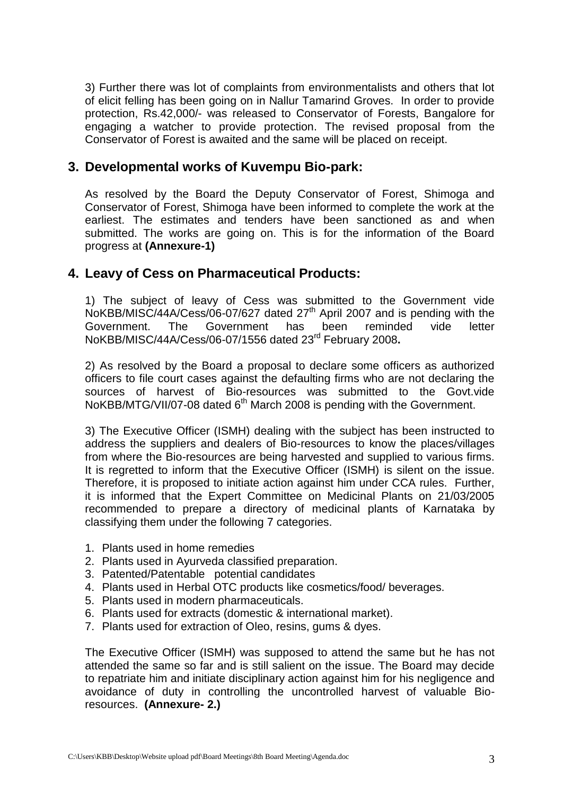3) Further there was lot of complaints from environmentalists and others that lot of elicit felling has been going on in Nallur Tamarind Groves. In order to provide protection, Rs.42,000/- was released to Conservator of Forests, Bangalore for engaging a watcher to provide protection. The revised proposal from the Conservator of Forest is awaited and the same will be placed on receipt.

### **3. Developmental works of Kuvempu Bio-park:**

As resolved by the Board the Deputy Conservator of Forest, Shimoga and Conservator of Forest, Shimoga have been informed to complete the work at the earliest. The estimates and tenders have been sanctioned as and when submitted. The works are going on. This is for the information of the Board progress at **(Annexure-1)**

### **4. Leavy of Cess on Pharmaceutical Products:**

1) The subject of leavy of Cess was submitted to the Government vide NoKBB/MISC/44A/Cess/06-07/627 dated 27<sup>th</sup> April 2007 and is pending with the Government. The Government has been reminded vide letter NoKBB/MISC/44A/Cess/06-07/1556 dated 23rd February 2008**.**

2) As resolved by the Board a proposal to declare some officers as authorized officers to file court cases against the defaulting firms who are not declaring the sources of harvest of Bio-resources was submitted to the Govt.vide NoKBB/MTG/VII/07-08 dated 6<sup>th</sup> March 2008 is pending with the Government.

3) The Executive Officer (ISMH) dealing with the subject has been instructed to address the suppliers and dealers of Bio-resources to know the places/villages from where the Bio-resources are being harvested and supplied to various firms. It is regretted to inform that the Executive Officer (ISMH) is silent on the issue. Therefore, it is proposed to initiate action against him under CCA rules. Further, it is informed that the Expert Committee on Medicinal Plants on 21/03/2005 recommended to prepare a directory of medicinal plants of Karnataka by classifying them under the following 7 categories.

- 1. Plants used in home remedies
- 2. Plants used in Ayurveda classified preparation.
- 3. Patented/Patentable potential candidates
- 4. Plants used in Herbal OTC products like cosmetics/food/ beverages.
- 5. Plants used in modern pharmaceuticals.
- 6. Plants used for extracts (domestic & international market).
- 7. Plants used for extraction of Oleo, resins, gums & dyes.

The Executive Officer (ISMH) was supposed to attend the same but he has not attended the same so far and is still salient on the issue. The Board may decide to repatriate him and initiate disciplinary action against him for his negligence and avoidance of duty in controlling the uncontrolled harvest of valuable Bioresources. **(Annexure- 2.)**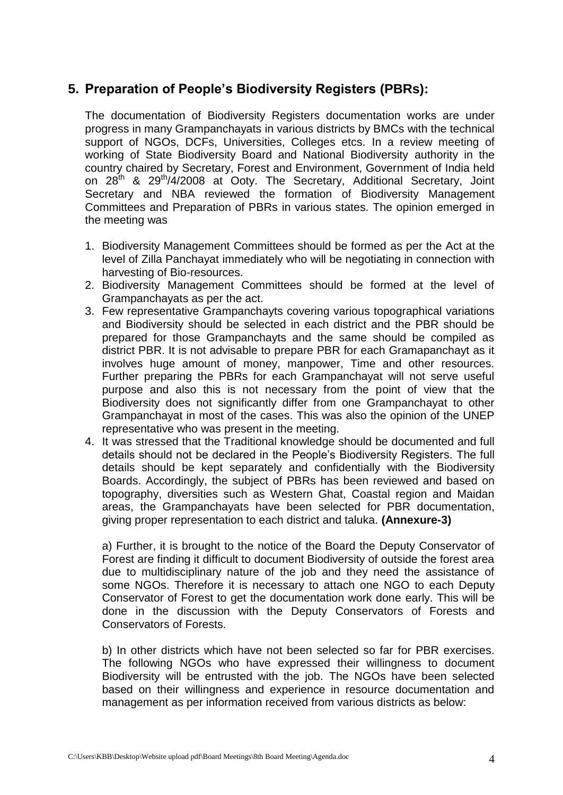## **5. Preparation of People's Biodiversity Registers (PBRs):**

The documentation of Biodiversity Registers documentation works are under progress in many Grampanchayats in various districts by BMCs with the technical support of NGOs, DCFs, Universities, Colleges etcs. In a review meeting of working of State Biodiversity Board and National Biodiversity authority in the country chaired by Secretary, Forest and Environment, Government of India held on 28<sup>th</sup> & 29<sup>th</sup>/4/2008 at Ooty. The Secretary, Additional Secretary, Joint Secretary and NBA reviewed the formation of Biodiversity Management Committees and Preparation of PBRs in various states. The opinion emerged in the meeting was

- 1. Biodiversity Management Committees should be formed as per the Act at the level of Zilla Panchayat immediately who will be negotiating in connection with harvesting of Bio-resources.
- 2. Biodiversity Management Committees should be formed at the level of Grampanchayats as per the act.
- 3. Few representative Grampanchayts covering various topographical variations and Biodiversity should be selected in each district and the PBR should be prepared for those Grampanchayts and the same should be compiled as district PBR. It is not advisable to prepare PBR for each Gramapanchayt as it involves huge amount of money, manpower, Time and other resources. Further preparing the PBRs for each Grampanchayat will not serve useful purpose and also this is not necessary from the point of view that the Biodiversity does not significantly differ from one Grampanchayat to other Grampanchayat in most of the cases. This was also the opinion of the UNEP representative who was present in the meeting.
- 4. It was stressed that the Traditional knowledge should be documented and full details should not be declared in the People's Biodiversity Registers. The full details should be kept separately and confidentially with the Biodiversity Boards. Accordingly, the subject of PBRs has been reviewed and based on topography, diversities such as Western Ghat, Coastal region and Maidan areas, the Grampanchayats have been selected for PBR documentation, giving proper representation to each district and taluka. **(Annexure-3)**

a) Further, it is brought to the notice of the Board the Deputy Conservator of Forest are finding it difficult to document Biodiversity of outside the forest area due to multidisciplinary nature of the job and they need the assistance of some NGOs. Therefore it is necessary to attach one NGO to each Deputy Conservator of Forest to get the documentation work done early. This will be done in the discussion with the Deputy Conservators of Forests and Conservators of Forests.

b) In other districts which have not been selected so far for PBR exercises. The following NGOs who have expressed their willingness to document Biodiversity will be entrusted with the job. The NGOs have been selected based on their willingness and experience in resource documentation and management as per information received from various districts as below: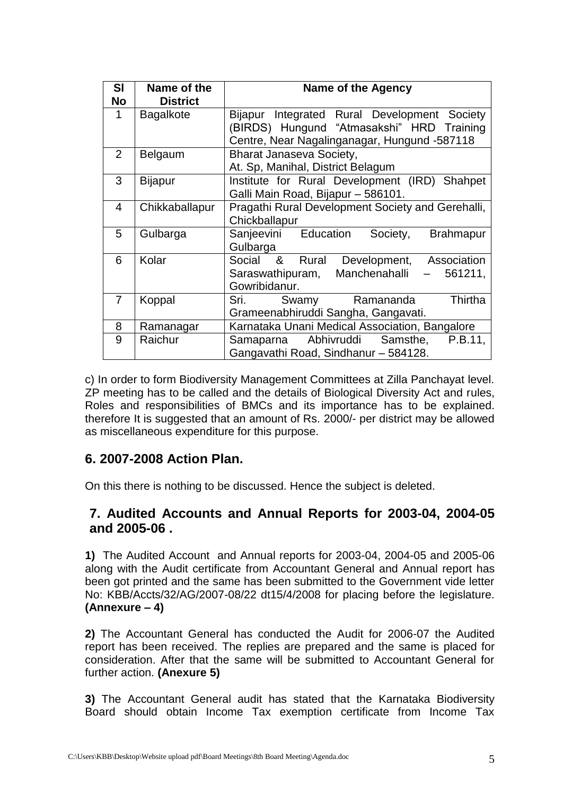| SI<br><b>No</b> | Name of the<br><b>District</b> | Name of the Agency                                                                                                                        |
|-----------------|--------------------------------|-------------------------------------------------------------------------------------------------------------------------------------------|
| $\mathbf 1$     | <b>Bagalkote</b>               | Bijapur Integrated Rural Development Society<br>(BIRDS) Hungund "Atmasakshi" HRD Training<br>Centre, Near Nagalinganagar, Hungund -587118 |
| $\overline{2}$  | Belgaum                        | <b>Bharat Janaseva Society,</b><br>At. Sp, Manihal, District Belagum                                                                      |
| 3               | <b>Bijapur</b>                 | Institute for Rural Development (IRD) Shahpet<br>Galli Main Road, Bijapur – 586101.                                                       |
| 4               | Chikkaballapur                 | Pragathi Rural Development Society and Gerehalli,<br>Chickballapur                                                                        |
| 5               | Gulbarga                       | Education<br>Sanjeevini<br>Society,<br><b>Brahmapur</b><br>Gulbarga                                                                       |
| 6               | Kolar                          | Social<br>Development, Association<br>& Rural<br>Manchenahalli<br>Saraswathipuram,<br>561211,<br>Gowribidanur.                            |
| $\overline{7}$  | Koppal                         | Thirtha<br>Ramananda<br>Sri. I<br>Swamy<br>Grameenabhiruddi Sangha, Gangavati.                                                            |
| 8               | Ramanagar                      | Karnataka Unani Medical Association, Bangalore                                                                                            |
| 9               | Raichur                        | Samaparna Abhivruddi<br>P.B.11,<br>Samsthe,<br>Gangavathi Road, Sindhanur – 584128.                                                       |

c) In order to form Biodiversity Management Committees at Zilla Panchayat level. ZP meeting has to be called and the details of Biological Diversity Act and rules, Roles and responsibilities of BMCs and its importance has to be explained. therefore It is suggested that an amount of Rs. 2000/- per district may be allowed as miscellaneous expenditure for this purpose.

# **6. 2007-2008 Action Plan.**

On this there is nothing to be discussed. Hence the subject is deleted.

### **7. Audited Accounts and Annual Reports for 2003-04, 2004-05 and 2005-06 .**

**1)** The Audited Account and Annual reports for 2003-04, 2004-05 and 2005-06 along with the Audit certificate from Accountant General and Annual report has been got printed and the same has been submitted to the Government vide letter No: KBB/Accts/32/AG/2007-08/22 dt15/4/2008 for placing before the legislature. **(Annexure – 4)**

**2)** The Accountant General has conducted the Audit for 2006-07 the Audited report has been received. The replies are prepared and the same is placed for consideration. After that the same will be submitted to Accountant General for further action. **(Anexure 5)**

**3)** The Accountant General audit has stated that the Karnataka Biodiversity Board should obtain Income Tax exemption certificate from Income Tax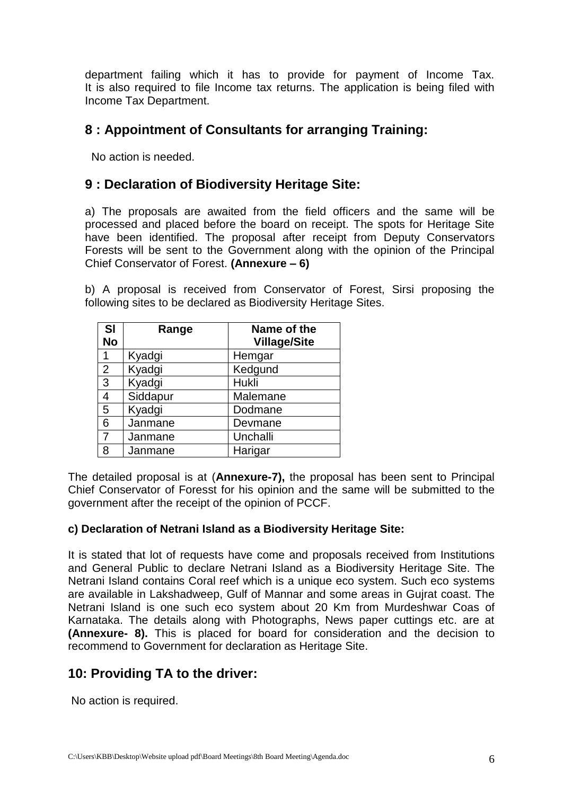department failing which it has to provide for payment of Income Tax. It is also required to file Income tax returns. The application is being filed with Income Tax Department.

## **8 : Appointment of Consultants for arranging Training:**

No action is needed.

# **9 : Declaration of Biodiversity Heritage Site:**

a) The proposals are awaited from the field officers and the same will be processed and placed before the board on receipt. The spots for Heritage Site have been identified. The proposal after receipt from Deputy Conservators Forests will be sent to the Government along with the opinion of the Principal Chief Conservator of Forest. **(Annexure – 6)**

b) A proposal is received from Conservator of Forest, Sirsi proposing the following sites to be declared as Biodiversity Heritage Sites.

| <b>SI</b><br><b>No</b> | Range    | Name of the<br><b>Village/Site</b> |
|------------------------|----------|------------------------------------|
|                        | Kyadgi   | Hemgar                             |
| 2                      | Kyadgi   | Kedgund                            |
| 3                      | Kyadgi   | Hukli                              |
| 4                      | Siddapur | Malemane                           |
| 5                      | Kyadgi   | Dodmane                            |
| 6                      | Janmane  | Devmane                            |
| 7                      | Janmane  | Unchalli                           |
| 8                      | Janmane  | Harigar                            |

The detailed proposal is at (**Annexure-7),** the proposal has been sent to Principal Chief Conservator of Foresst for his opinion and the same will be submitted to the government after the receipt of the opinion of PCCF.

#### **c) Declaration of Netrani Island as a Biodiversity Heritage Site:**

It is stated that lot of requests have come and proposals received from Institutions and General Public to declare Netrani Island as a Biodiversity Heritage Site. The Netrani Island contains Coral reef which is a unique eco system. Such eco systems are available in Lakshadweep, Gulf of Mannar and some areas in Gujrat coast. The Netrani Island is one such eco system about 20 Km from Murdeshwar Coas of Karnataka. The details along with Photographs, News paper cuttings etc. are at **(Annexure- 8).** This is placed for board for consideration and the decision to recommend to Government for declaration as Heritage Site.

# **10: Providing TA to the driver:**

No action is required.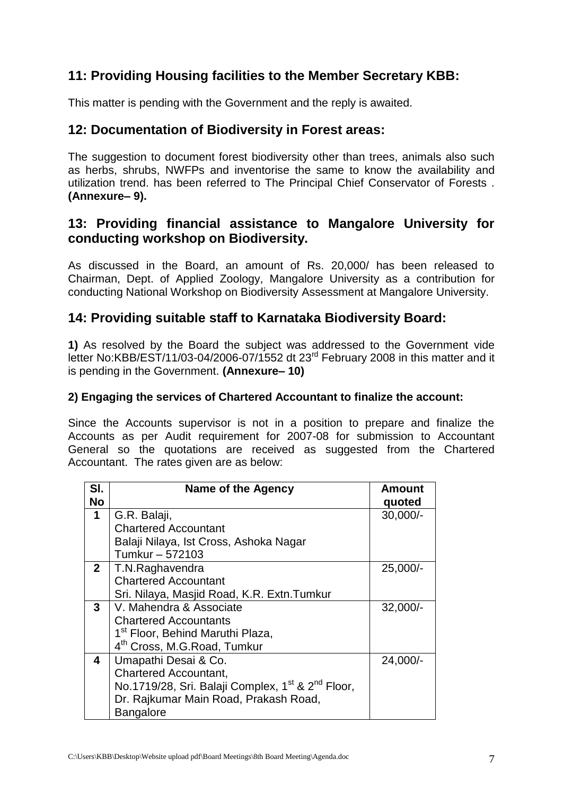# **11: Providing Housing facilities to the Member Secretary KBB:**

This matter is pending with the Government and the reply is awaited.

### **12: Documentation of Biodiversity in Forest areas:**

The suggestion to document forest biodiversity other than trees, animals also such as herbs, shrubs, NWFPs and inventorise the same to know the availability and utilization trend. has been referred to The Principal Chief Conservator of Forests . **(Annexure– 9).**

### **13: Providing financial assistance to Mangalore University for conducting workshop on Biodiversity.**

As discussed in the Board, an amount of Rs. 20,000/ has been released to Chairman, Dept. of Applied Zoology, Mangalore University as a contribution for conducting National Workshop on Biodiversity Assessment at Mangalore University.

## **14: Providing suitable staff to Karnataka Biodiversity Board:**

**1)** As resolved by the Board the subject was addressed to the Government vide letter No:KBB/EST/11/03-04/2006-07/1552 dt 23<sup>rd</sup> February 2008 in this matter and it is pending in the Government. **(Annexure– 10)**

#### **2) Engaging the services of Chartered Accountant to finalize the account:**

Since the Accounts supervisor is not in a position to prepare and finalize the Accounts as per Audit requirement for 2007-08 for submission to Accountant General so the quotations are received as suggested from the Chartered Accountant. The rates given are as below:

| SI.<br><b>No</b> | Name of the Agency                                                        | Amount<br>quoted |
|------------------|---------------------------------------------------------------------------|------------------|
| 1                | G.R. Balaji,                                                              | $30,000/-$       |
|                  | <b>Chartered Accountant</b>                                               |                  |
|                  | Balaji Nilaya, Ist Cross, Ashoka Nagar                                    |                  |
|                  | Tumkur - 572103                                                           |                  |
| $\mathbf{2}$     | T.N.Raghavendra                                                           | $25,000/-$       |
|                  | <b>Chartered Accountant</b>                                               |                  |
|                  | Sri. Nilaya, Masjid Road, K.R. Extn.Tumkur                                |                  |
| $\mathbf{3}$     | V. Mahendra & Associate                                                   | $32,000/-$       |
|                  | <b>Chartered Accountants</b>                                              |                  |
|                  | 1 <sup>st</sup> Floor, Behind Maruthi Plaza,                              |                  |
|                  | 4 <sup>th</sup> Cross, M.G.Road, Tumkur                                   |                  |
| 4                | Umapathi Desai & Co.                                                      | $24,000/-$       |
|                  | <b>Chartered Accountant,</b>                                              |                  |
|                  | No.1719/28, Sri. Balaji Complex, 1 <sup>st</sup> & 2 <sup>nd</sup> Floor, |                  |
|                  | Dr. Rajkumar Main Road, Prakash Road,                                     |                  |
|                  | <b>Bangalore</b>                                                          |                  |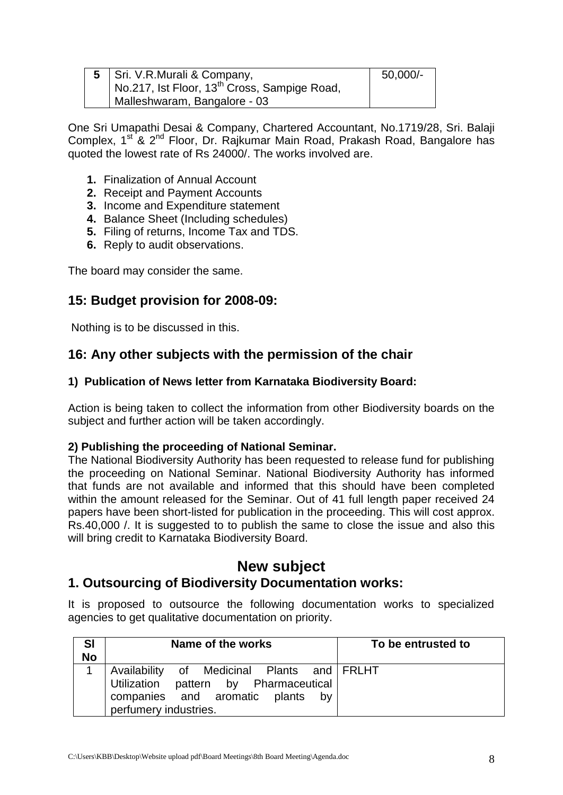| 5   Sri. V.R.Murali & Company,                           | $50,000/-$ |
|----------------------------------------------------------|------------|
| No.217, Ist Floor, 13 <sup>th</sup> Cross, Sampige Road, |            |
| Malleshwaram, Bangalore - 03                             |            |

One Sri Umapathi Desai & Company, Chartered Accountant, No.1719/28, Sri. Balaji Complex, 1<sup>st</sup> & 2<sup>nd</sup> Floor, Dr. Rajkumar Main Road, Prakash Road, Bangalore has quoted the lowest rate of Rs 24000/. The works involved are.

- **1.** Finalization of Annual Account
- **2.** Receipt and Payment Accounts
- **3.** Income and Expenditure statement
- **4.** Balance Sheet (Including schedules)
- **5.** Filing of returns, Income Tax and TDS.
- **6.** Reply to audit observations.

The board may consider the same.

# **15: Budget provision for 2008-09:**

Nothing is to be discussed in this.

# **16: Any other subjects with the permission of the chair**

#### **1) Publication of News letter from Karnataka Biodiversity Board:**

Action is being taken to collect the information from other Biodiversity boards on the subject and further action will be taken accordingly.

#### **2) Publishing the proceeding of National Seminar.**

The National Biodiversity Authority has been requested to release fund for publishing the proceeding on National Seminar. National Biodiversity Authority has informed that funds are not available and informed that this should have been completed within the amount released for the Seminar. Out of 41 full length paper received 24 papers have been short-listed for publication in the proceeding. This will cost approx. Rs.40,000 /. It is suggested to to publish the same to close the issue and also this will bring credit to Karnataka Biodiversity Board.

# **New subject**

### **1. Outsourcing of Biodiversity Documentation works:**

It is proposed to outsource the following documentation works to specialized agencies to get qualitative documentation on priority.

| <b>SI</b><br><b>No</b> | Name of the works                                                                                                                                   | To be entrusted to |
|------------------------|-----------------------------------------------------------------------------------------------------------------------------------------------------|--------------------|
|                        | Availability of Medicinal Plants and FRLHT<br>Utilization pattern by Pharmaceutical<br>companies and aromatic plants<br>bv<br>perfumery industries. |                    |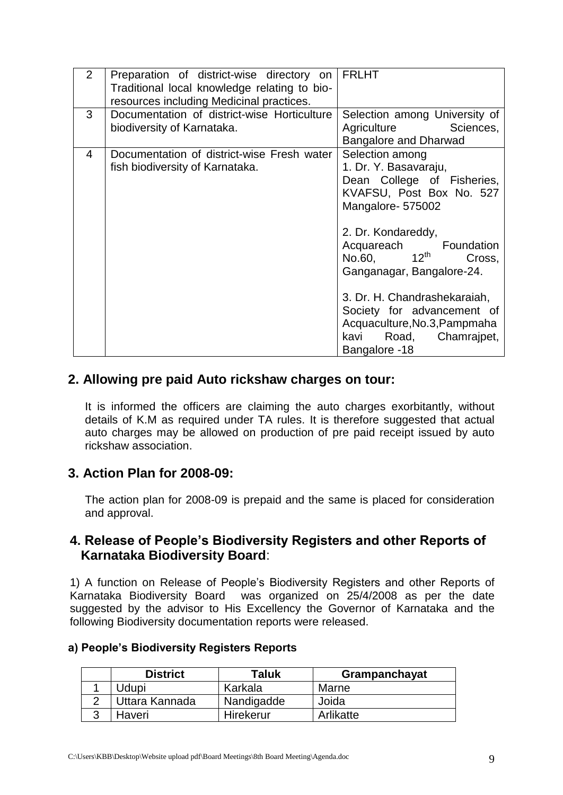| $\overline{2}$ | Preparation of district-wise directory on FRLHT<br>Traditional local knowledge relating to bio-<br>resources including Medicinal practices. |                                                                                                                                          |
|----------------|---------------------------------------------------------------------------------------------------------------------------------------------|------------------------------------------------------------------------------------------------------------------------------------------|
| 3              | Documentation of district-wise Horticulture<br>biodiversity of Karnataka.                                                                   | Selection among University of<br>Agriculture Sciences,<br><b>Bangalore and Dharwad</b>                                                   |
| $\overline{4}$ | Documentation of district-wise Fresh water<br>fish biodiversity of Karnataka.                                                               | Selection among<br>1. Dr. Y. Basavaraju,<br>Dean College of Fisheries,<br>KVAFSU, Post Box No. 527<br>Mangalore-575002                   |
|                |                                                                                                                                             | 2. Dr. Kondareddy,<br>Acquareach Foundation<br>$12^{\mathsf{th}}$<br>No.60,<br>Cross,<br>Ganganagar, Bangalore-24.                       |
|                |                                                                                                                                             | 3. Dr. H. Chandrashekaraiah,<br>Society for advancement of<br>Acquaculture, No.3, Pampmaha<br>Road, Chamrajpet,<br>kavi<br>Bangalore -18 |

### **2. Allowing pre paid Auto rickshaw charges on tour:**

It is informed the officers are claiming the auto charges exorbitantly, without details of K.M as required under TA rules. It is therefore suggested that actual auto charges may be allowed on production of pre paid receipt issued by auto rickshaw association.

### **3. Action Plan for 2008-09:**

The action plan for 2008-09 is prepaid and the same is placed for consideration and approval.

### **4. Release of People's Biodiversity Registers and other Reports of Karnataka Biodiversity Board**:

1) A function on Release of People's Biodiversity Registers and other Reports of Karnataka Biodiversity Board was organized on 25/4/2008 as per the date suggested by the advisor to His Excellency the Governor of Karnataka and the following Biodiversity documentation reports were released.

#### **a) People's Biodiversity Registers Reports**

| <b>District</b> | Taluk      | Grampanchayat |
|-----------------|------------|---------------|
| Jdupi           | Karkala    | Marne         |
| Uttara Kannada  | Nandigadde | Joida         |
| Haveri          | Hirekerur  | Arlikatte     |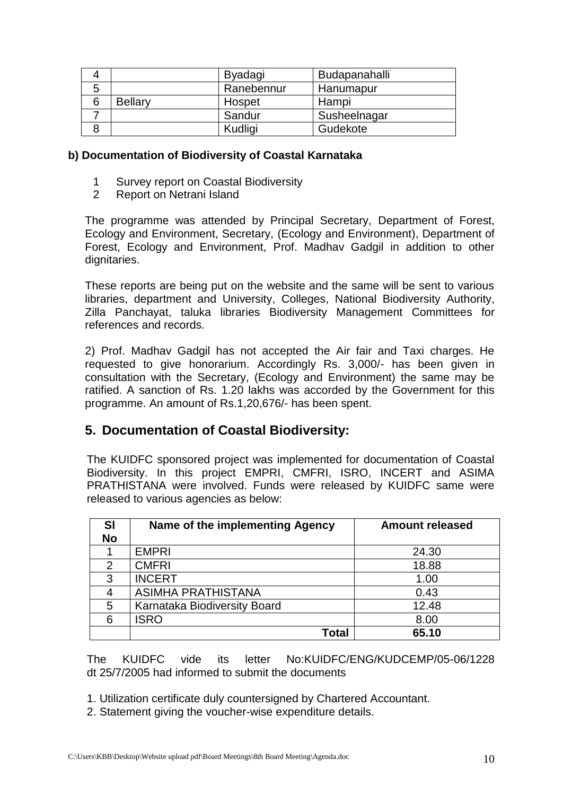|   |                | <b>Byadagi</b> | Budapanahalli |
|---|----------------|----------------|---------------|
| b |                | Ranebennur     | Hanumapur     |
|   | <b>Bellary</b> | Hospet         | Hampi         |
|   |                | Sandur         | Susheelnagar  |
|   |                | Kudligi        | Gudekote      |

#### **b) Documentation of Biodiversity of Coastal Karnataka**

- 1 Survey report on Coastal Biodiversity
- 2 Report on Netrani Island

The programme was attended by Principal Secretary, Department of Forest, Ecology and Environment, Secretary, (Ecology and Environment), Department of Forest, Ecology and Environment, Prof. Madhav Gadgil in addition to other dignitaries.

These reports are being put on the website and the same will be sent to various libraries, department and University, Colleges, National Biodiversity Authority, Zilla Panchayat, taluka libraries Biodiversity Management Committees for references and records.

2) Prof. Madhav Gadgil has not accepted the Air fair and Taxi charges. He requested to give honorarium. Accordingly Rs. 3,000/- has been given in consultation with the Secretary, (Ecology and Environment) the same may be ratified. A sanction of Rs. 1.20 lakhs was accorded by the Government for this programme. An amount of Rs.1,20,676/- has been spent.

### **5. Documentation of Coastal Biodiversity:**

The KUIDFC sponsored project was implemented for documentation of Coastal Biodiversity. In this project EMPRI, CMFRI, ISRO, INCERT and ASIMA PRATHISTANA were involved. Funds were released by KUIDFC same were released to various agencies as below:

| <b>SI</b><br><b>No</b> | Name of the implementing Agency | <b>Amount released</b> |
|------------------------|---------------------------------|------------------------|
|                        | <b>EMPRI</b>                    | 24.30                  |
| 2                      | <b>CMFRI</b>                    | 18.88                  |
| 3                      | <b>INCERT</b>                   | 1.00                   |
|                        | <b>ASIMHA PRATHISTANA</b>       | 0.43                   |
| 5                      | Karnataka Biodiversity Board    | 12.48                  |
| 6                      | ISRO                            | 8.00                   |
|                        | Total                           | 65.10                  |

The KUIDFC vide its letter No:KUIDFC/ENG/KUDCEMP/05-06/1228 dt 25/7/2005 had informed to submit the documents

- 1. Utilization certificate duly countersigned by Chartered Accountant.
- 2. Statement giving the voucher-wise expenditure details.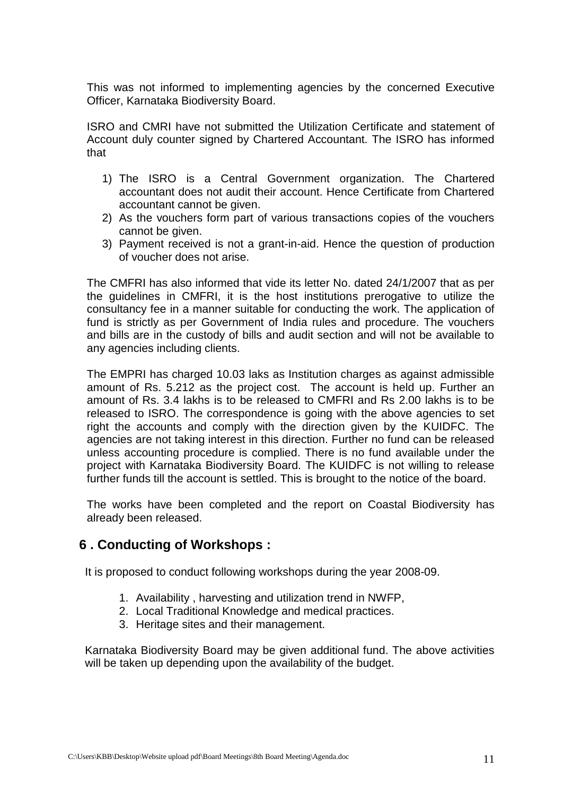This was not informed to implementing agencies by the concerned Executive Officer, Karnataka Biodiversity Board.

ISRO and CMRI have not submitted the Utilization Certificate and statement of Account duly counter signed by Chartered Accountant. The ISRO has informed that

- 1) The ISRO is a Central Government organization. The Chartered accountant does not audit their account. Hence Certificate from Chartered accountant cannot be given.
- 2) As the vouchers form part of various transactions copies of the vouchers cannot be given.
- 3) Payment received is not a grant-in-aid. Hence the question of production of voucher does not arise.

The CMFRI has also informed that vide its letter No. dated 24/1/2007 that as per the guidelines in CMFRI, it is the host institutions prerogative to utilize the consultancy fee in a manner suitable for conducting the work. The application of fund is strictly as per Government of India rules and procedure. The vouchers and bills are in the custody of bills and audit section and will not be available to any agencies including clients.

The EMPRI has charged 10.03 laks as Institution charges as against admissible amount of Rs. 5.212 as the project cost. The account is held up. Further an amount of Rs. 3.4 lakhs is to be released to CMFRI and Rs 2.00 lakhs is to be released to ISRO. The correspondence is going with the above agencies to set right the accounts and comply with the direction given by the KUIDFC. The agencies are not taking interest in this direction. Further no fund can be released unless accounting procedure is complied. There is no fund available under the project with Karnataka Biodiversity Board. The KUIDFC is not willing to release further funds till the account is settled. This is brought to the notice of the board.

The works have been completed and the report on Coastal Biodiversity has already been released.

# **6 . Conducting of Workshops :**

It is proposed to conduct following workshops during the year 2008-09.

- 1. Availability , harvesting and utilization trend in NWFP,
- 2. Local Traditional Knowledge and medical practices.
- 3. Heritage sites and their management.

Karnataka Biodiversity Board may be given additional fund. The above activities will be taken up depending upon the availability of the budget.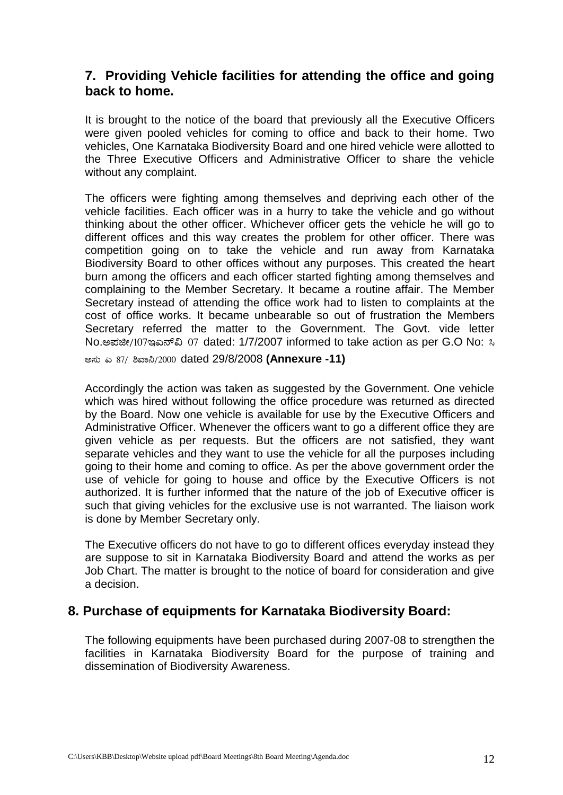## **7. Providing Vehicle facilities for attending the office and going back to home.**

It is brought to the notice of the board that previously all the Executive Officers were given pooled vehicles for coming to office and back to their home. Two vehicles, One Karnataka Biodiversity Board and one hired vehicle were allotted to the Three Executive Officers and Administrative Officer to share the vehicle without any complaint.

The officers were fighting among themselves and depriving each other of the vehicle facilities. Each officer was in a hurry to take the vehicle and go without thinking about the other officer. Whichever officer gets the vehicle he will go to different offices and this way creates the problem for other officer. There was competition going on to take the vehicle and run away from Karnataka Biodiversity Board to other offices without any purposes. This created the heart burn among the officers and each officer started fighting among themselves and complaining to the Member Secretary. It became a routine affair. The Member Secretary instead of attending the office work had to listen to complaints at the cost of office works. It became unbearable so out of frustration the Members Secretary referred the matter to the Government. The Govt. vide letter No.ಅಪಜೀ/107ಇಎನ್ ವಿ 07 dated: 1/7/2007 informed to take action as per G.O No: ಸಿ

ಅಸು ಎ 87/ ಶಿವಾನಿ/2000 dated 29/8/2008 **(Annexure -11)** 

Accordingly the action was taken as suggested by the Government. One vehicle which was hired without following the office procedure was returned as directed by the Board. Now one vehicle is available for use by the Executive Officers and Administrative Officer. Whenever the officers want to go a different office they are given vehicle as per requests. But the officers are not satisfied, they want separate vehicles and they want to use the vehicle for all the purposes including going to their home and coming to office. As per the above government order the use of vehicle for going to house and office by the Executive Officers is not authorized. It is further informed that the nature of the job of Executive officer is such that giving vehicles for the exclusive use is not warranted. The liaison work is done by Member Secretary only.

The Executive officers do not have to go to different offices everyday instead they are suppose to sit in Karnataka Biodiversity Board and attend the works as per Job Chart. The matter is brought to the notice of board for consideration and give a decision.

### **8. Purchase of equipments for Karnataka Biodiversity Board:**

The following equipments have been purchased during 2007-08 to strengthen the facilities in Karnataka Biodiversity Board for the purpose of training and dissemination of Biodiversity Awareness.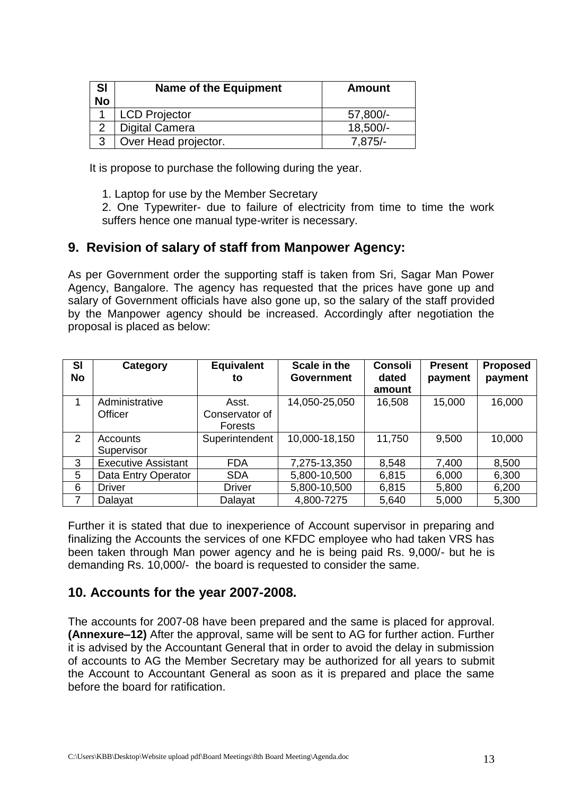| -SI<br><b>No</b> | <b>Name of the Equipment</b> | Amount     |
|------------------|------------------------------|------------|
|                  | <b>LCD Projector</b>         | 57,800/-   |
|                  | <b>Digital Camera</b>        | $18,500/-$ |
| $\mathbf{z}$     | Over Head projector.         | $7.875/-$  |

It is propose to purchase the following during the year.

1. Laptop for use by the Member Secretary

2. One Typewriter- due to failure of electricity from time to time the work suffers hence one manual type-writer is necessary.

### **9. Revision of salary of staff from Manpower Agency:**

As per Government order the supporting staff is taken from Sri, Sagar Man Power Agency, Bangalore. The agency has requested that the prices have gone up and salary of Government officials have also gone up, so the salary of the staff provided by the Manpower agency should be increased. Accordingly after negotiation the proposal is placed as below:

| <b>SI</b><br><b>No</b> | Category                   | <b>Equivalent</b><br>to | Scale in the<br><b>Government</b> | <b>Consoli</b><br>dated | <b>Present</b><br>payment | <b>Proposed</b><br>payment |
|------------------------|----------------------------|-------------------------|-----------------------------------|-------------------------|---------------------------|----------------------------|
|                        |                            |                         |                                   | amount                  |                           |                            |
|                        | Administrative             | Asst.                   | 14,050-25,050                     | 16,508                  | 15,000                    | 16,000                     |
|                        | Officer                    | Conservator of          |                                   |                         |                           |                            |
|                        |                            | <b>Forests</b>          |                                   |                         |                           |                            |
| 2                      | Accounts                   | Superintendent          | 10,000-18,150                     | 11,750                  | 9,500                     | 10,000                     |
|                        | Supervisor                 |                         |                                   |                         |                           |                            |
| 3                      | <b>Executive Assistant</b> | <b>FDA</b>              | 7,275-13,350                      | 8,548                   | 7,400                     | 8,500                      |
| 5                      | Data Entry Operator        | <b>SDA</b>              | 5,800-10,500                      | 6,815                   | 6,000                     | 6,300                      |
| 6                      | <b>Driver</b>              | <b>Driver</b>           | 5,800-10,500                      | 6,815                   | 5,800                     | 6,200                      |
| 7                      | Dalayat                    | Dalayat                 | 4,800-7275                        | 5,640                   | 5,000                     | 5,300                      |

Further it is stated that due to inexperience of Account supervisor in preparing and finalizing the Accounts the services of one KFDC employee who had taken VRS has been taken through Man power agency and he is being paid Rs. 9,000/- but he is demanding Rs. 10,000/- the board is requested to consider the same.

### **10. Accounts for the year 2007-2008.**

The accounts for 2007-08 have been prepared and the same is placed for approval. **(Annexure–12)** After the approval, same will be sent to AG for further action. Further it is advised by the Accountant General that in order to avoid the delay in submission of accounts to AG the Member Secretary may be authorized for all years to submit the Account to Accountant General as soon as it is prepared and place the same before the board for ratification.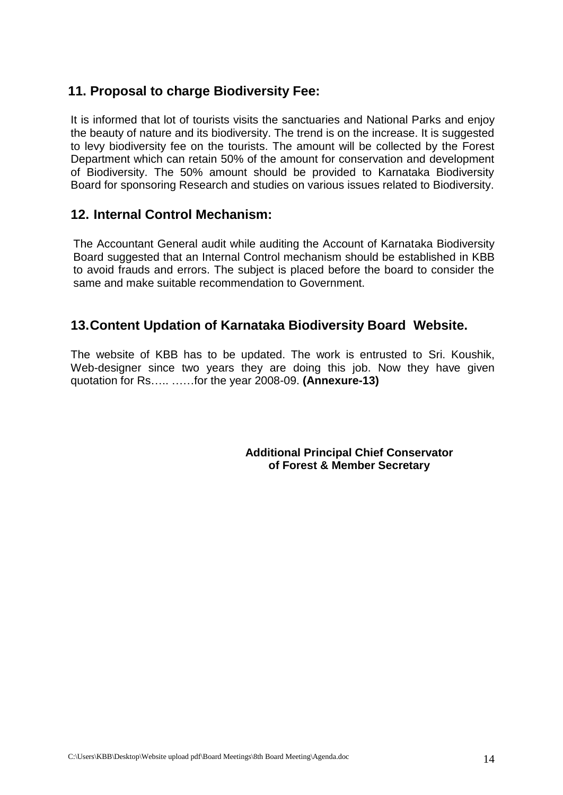# **11. Proposal to charge Biodiversity Fee:**

It is informed that lot of tourists visits the sanctuaries and National Parks and enjoy the beauty of nature and its biodiversity. The trend is on the increase. It is suggested to levy biodiversity fee on the tourists. The amount will be collected by the Forest Department which can retain 50% of the amount for conservation and development of Biodiversity. The 50% amount should be provided to Karnataka Biodiversity Board for sponsoring Research and studies on various issues related to Biodiversity.

### **12. Internal Control Mechanism:**

The Accountant General audit while auditing the Account of Karnataka Biodiversity Board suggested that an Internal Control mechanism should be established in KBB to avoid frauds and errors. The subject is placed before the board to consider the same and make suitable recommendation to Government.

# **13.Content Updation of Karnataka Biodiversity Board Website.**

The website of KBB has to be updated. The work is entrusted to Sri. Koushik, Web-designer since two years they are doing this job. Now they have given quotation for Rs….. ……for the year 2008-09. **(Annexure-13)**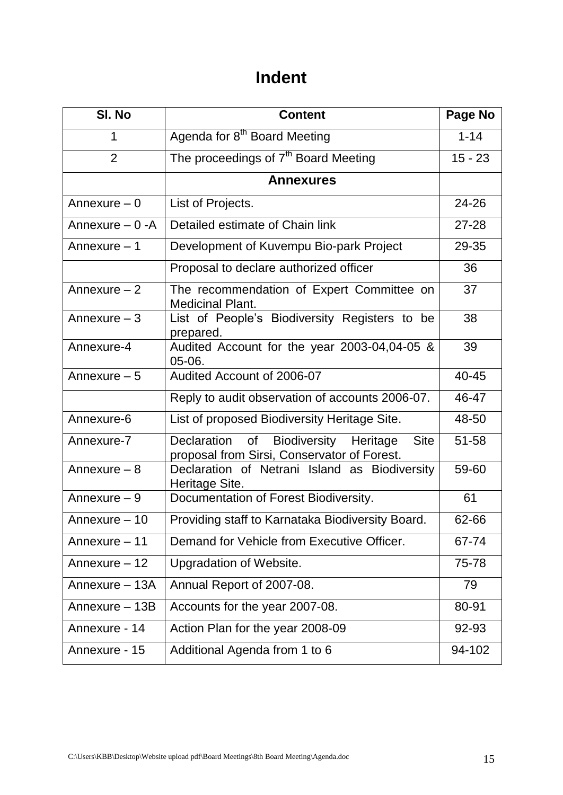# **Indent**

| SI. No            | <b>Content</b>                                                                                           | Page No   |
|-------------------|----------------------------------------------------------------------------------------------------------|-----------|
| 1                 | Agenda for 8 <sup>th</sup> Board Meeting                                                                 | $1 - 14$  |
| $\overline{2}$    | The proceedings of 7 <sup>th</sup> Board Meeting                                                         | $15 - 23$ |
|                   | <b>Annexures</b>                                                                                         |           |
| Annexure $-0$     | List of Projects.                                                                                        | 24-26     |
| Annexure $-0 - A$ | Detailed estimate of Chain link                                                                          | $27 - 28$ |
| Annexure - 1      | Development of Kuvempu Bio-park Project                                                                  | 29-35     |
|                   | Proposal to declare authorized officer                                                                   | 36        |
| Annexure $-2$     | The recommendation of Expert Committee on<br><b>Medicinal Plant.</b>                                     | 37        |
| Annexure $-3$     | List of People's Biodiversity Registers to be<br>prepared.                                               | 38        |
| Annexure-4        | Audited Account for the year 2003-04,04-05 &<br>$05-06.$                                                 | 39        |
| Annexure $-5$     | Audited Account of 2006-07                                                                               | 40-45     |
|                   | Reply to audit observation of accounts 2006-07.                                                          | 46-47     |
| Annexure-6        | List of proposed Biodiversity Heritage Site.                                                             | 48-50     |
| Annexure-7        | of<br>Biodiversity Heritage<br><b>Site</b><br>Declaration<br>proposal from Sirsi, Conservator of Forest. | 51-58     |
| Annexure $-8$     | Declaration of Netrani Island as Biodiversity<br>Heritage Site.                                          | 59-60     |
| Annexure - 9      | Documentation of Forest Biodiversity.                                                                    | 61        |
| Annexure - 10     | Providing staff to Karnataka Biodiversity Board.                                                         | 62-66     |
| Annexure - 11     | Demand for Vehicle from Executive Officer.                                                               | 67-74     |
| Annexure - 12     | Upgradation of Website.                                                                                  | 75-78     |
| Annexure - 13A    | Annual Report of 2007-08.                                                                                | 79        |
| Annexure - 13B    | Accounts for the year 2007-08.                                                                           | 80-91     |
| Annexure - 14     | Action Plan for the year 2008-09                                                                         | 92-93     |
| Annexure - 15     | Additional Agenda from 1 to 6                                                                            | 94-102    |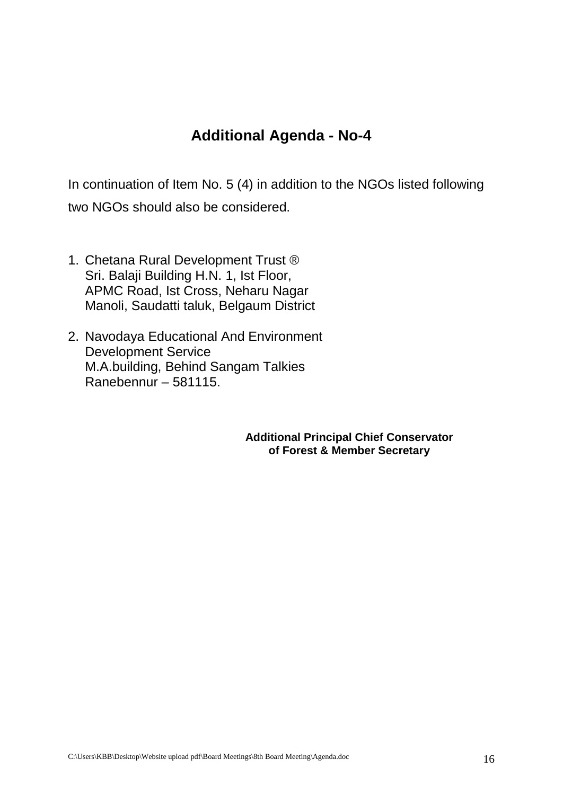# **Additional Agenda - No-4**

In continuation of Item No. 5 (4) in addition to the NGOs listed following two NGOs should also be considered.

- 1. Chetana Rural Development Trust ® Sri. Balaji Building H.N. 1, Ist Floor, APMC Road, Ist Cross, Neharu Nagar Manoli, Saudatti taluk, Belgaum District
- 2. Navodaya Educational And Environment Development Service M.A.building, Behind Sangam Talkies Ranebennur – 581115.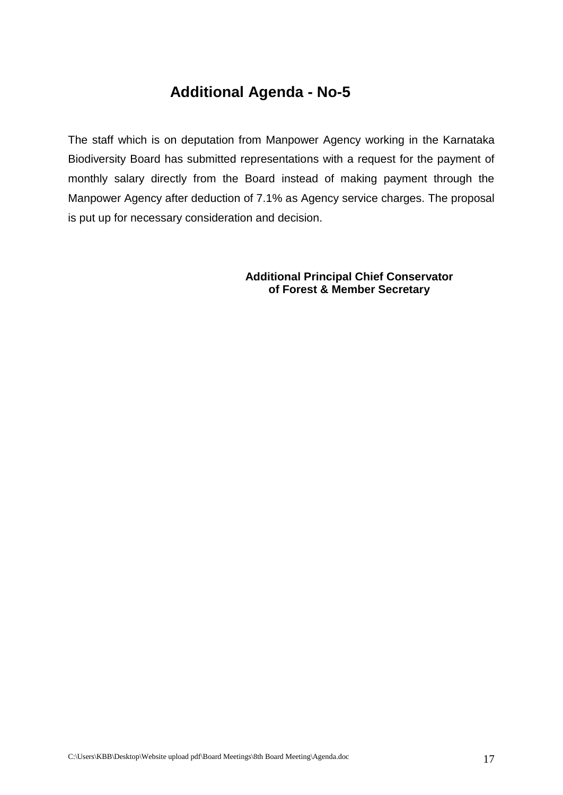# **Additional Agenda - No-5**

The staff which is on deputation from Manpower Agency working in the Karnataka Biodiversity Board has submitted representations with a request for the payment of monthly salary directly from the Board instead of making payment through the Manpower Agency after deduction of 7.1% as Agency service charges. The proposal is put up for necessary consideration and decision.